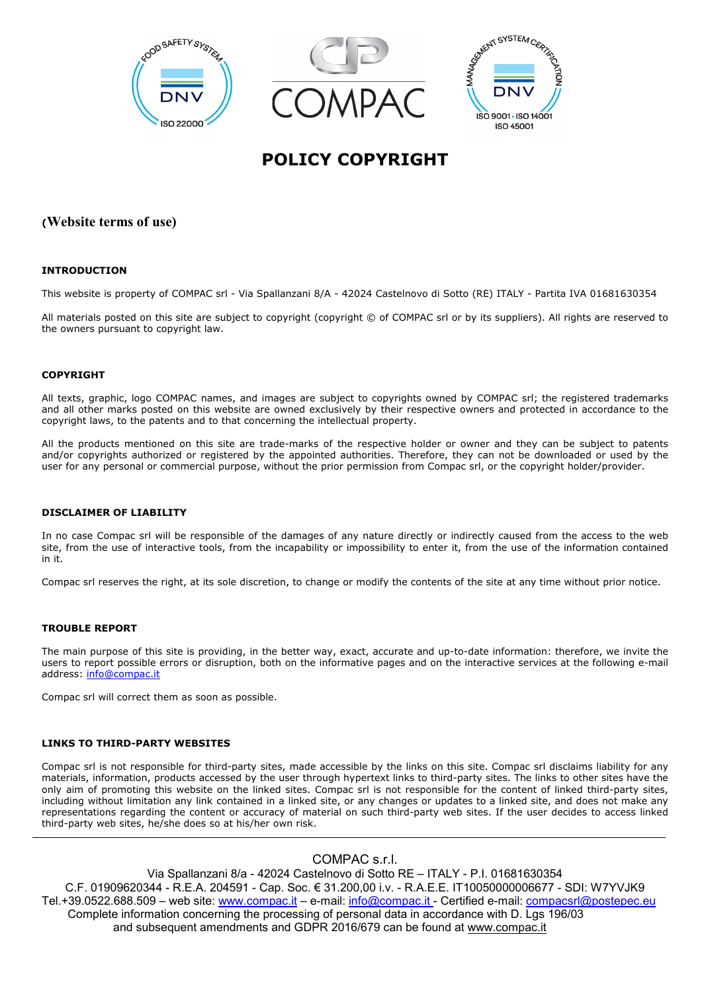

# **POLICY COPYRIGHT**

# **(Website terms of use)**

## **INTRODUCTION**

This website is property of COMPAC srl - Via Spallanzani 8/A - 42024 Castelnovo di Sotto (RE) ITALY - Partita IVA 01681630354

All materials posted on this site are subject to copyright (copyright © of COMPAC srl or by its suppliers). All rights are reserved to the owners pursuant to copyright law.

#### **COPYRIGHT**

All texts, graphic, logo COMPAC names, and images are subject to copyrights owned by COMPAC srl; the registered trademarks and all other marks posted on this website are owned exclusively by their respective owners and protected in accordance to the copyright laws, to the patents and to that concerning the intellectual property.

All the products mentioned on this site are trade-marks of the respective holder or owner and they can be subject to patents and/or copyrights authorized or registered by the appointed authorities. Therefore, they can not be downloaded or used by the user for any personal or commercial purpose, without the prior permission from Compac srl, or the copyright holder/provider.

#### **DISCLAIMER OF LIABILITY**

In no case Compac srl will be responsible of the damages of any nature directly or indirectly caused from the access to the web site, from the use of interactive tools, from the incapability or impossibility to enter it, from the use of the information contained in it.

Compac srl reserves the right, at its sole discretion, to change or modify the contents of the site at any time without prior notice.

#### **TROUBLE REPORT**

The main purpose of this site is providing, in the better way, exact, accurate and up-to-date information: therefore, we invite the users to report possible errors or disruption, both on the informative pages and on the interactive services at the following e-mail address: [info@compac.it](mailto:info@compac.it)

Compac srl will correct them as soon as possible.

#### **LINKS TO THIRD-PARTY WEBSITES**

Compac srl is not responsible for third-party sites, made accessible by the links on this site. Compac srl disclaims liability for any materials, information, products accessed by the user through hypertext links to third-party sites. The links to other sites have the only aim of promoting this website on the linked sites. Compac srl is not responsible for the content of linked third-party sites, including without limitation any link contained in a linked site, or any changes or updates to a linked site, and does not make any representations regarding the content or accuracy of material on such third-party web sites. If the user decides to access linked third-party web sites, he/she does so at his/her own risk.

COMPAC s.r.l.

Via Spallanzani 8/a - 42024 Castelnovo di Sotto RE – ITALY - P.I. 01681630354 C.F. 01909620344 - R.E.A. 204591 - Cap. Soc. € 31.200,00 i.v. - R.A.E.E. IT10050000006677 - SDI: W7YVJK9 Tel.+39.0522.688.509 – web site: [www.compac.it](http://www.compac.it/) – e-mail: [info@compac.it](mailto:info@compac.it) - Certified e-mail: [compacsrl@postepec.eu](mailto:compacsrl@postepec.eu) Complete information concerning the processing of personal data in accordance with D. Lgs 196/03 and subsequent amendments and GDPR 2016/679 can be found at [www.compac.it](http://www.compac.it/)